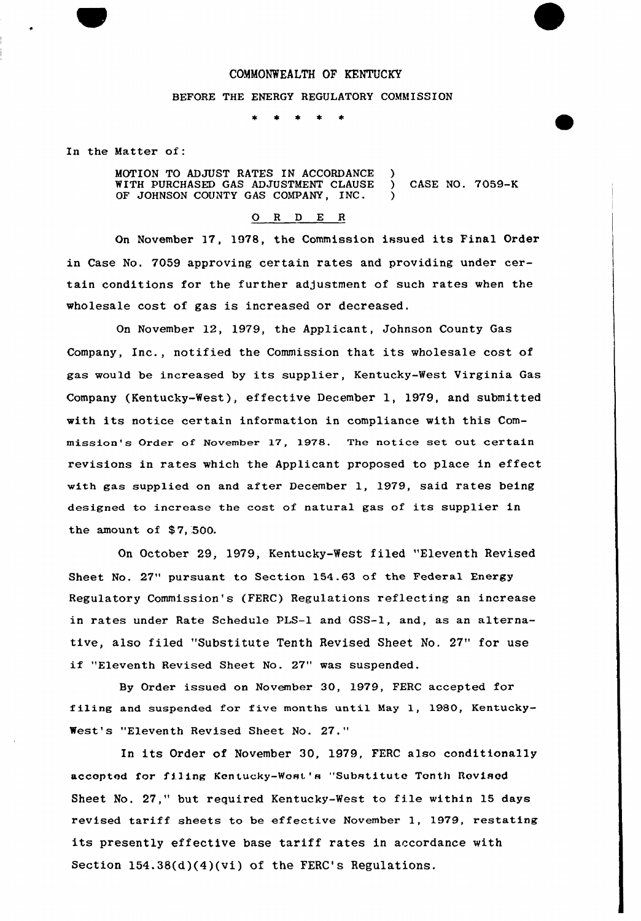### COMMONWEALTH OF KENTUCKY

## BEFORE THE ENERGY REGULATORY COMMISSION

 $\star$  $\rightarrow$ 

In the Matter of:

MOTION TO ADJUST RATES IN ACCORDANCE WITH PURCHASED GAS ADJUSTMENT CLAUSE OF JOHNSON COUNTY GAS COMPANY, INC. ) ) CASE NO. 7059-K )

#### 0 <sup>R</sup> <sup>D</sup> E <sup>R</sup>

On November 17, 1978, the Commission issued its Final Order in Case No. 7059 approving certain rates and providing under certain conditions for the further adjustment of such rates when the wholesale cost of gas is increased or decreased.

On November 12, 1979, the Applicant, Johnson County Gas Company, Inc., notified the Commission that its wholesale cost of gas would be increased by its supplier, Kentucky-Nest Virginia Gas Company (Kentucky-West), effective December 1, 1979, and submitted with its notice certain information in compliance with this Commission's Order of November 17, 1978. The notice set out certain revisions in rates which the Applicant proposed to place in effect with gas supplied on and after December 1, 1979, said rates being designed to increase the cost of natural gas of its supplier in the amount of  $$7,500$ .

Qn October 29, 1979, Kentucky-West filed "Eleventh Revised Sheet No. 27" pursuant to Section 154.63 of the Federal Energy Regulatory Commission's (FERC) Regulations reflecting an increase in rates under Rate Schedule PLS-1 and GSS-1, and, as an alternative, also filed "Substitute Tenth Revised Sheet No. 27" for use if "Eleventh Revised Sheet No. 27" was suspended.

By Order issued on November 30, 1979, FERC accepted for filing and suspended for five months until May 1, 1980, Kentucky-West's "Eleventh Revised Sheet No. 27."

In its Order of November 30, 1979, FERC also conditionally accepted for filing Kentucky-Wost's "Substitute Tenth Rovised Sheet No. 27," but required Kentucky-West to file within 15 days revised tariff sheets to be effective November 1, 1979, restating its presently effective base tariff rates in accordance with Section  $154.38(d)(4)(vi)$  of the FERC's Regulations.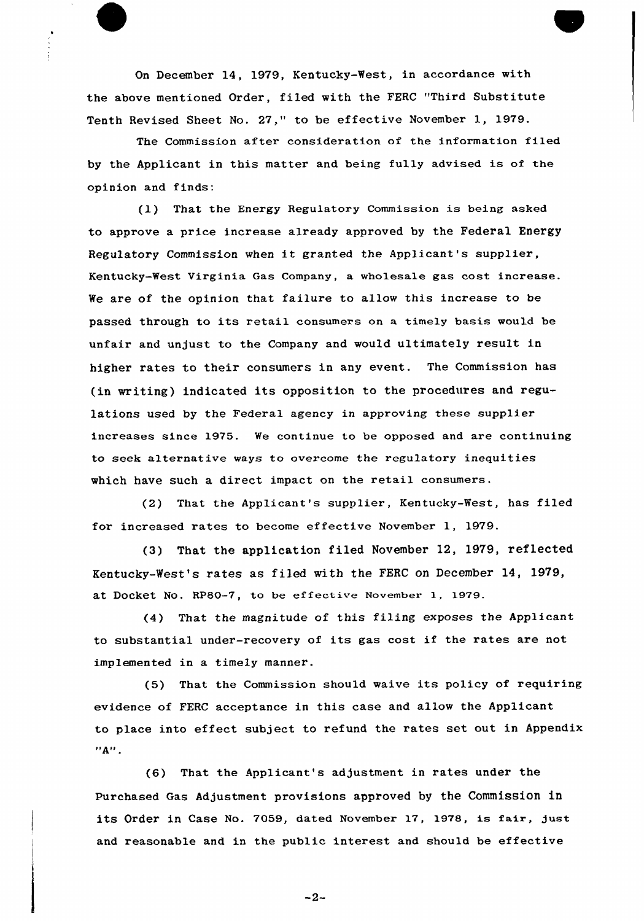On December 14, 1979, Kentucky-West, in accordance with the above mentioned Order, filed with the FERC "Third Substitute Tenth Revised Sheet No. 27," to be effective November 1, 1979.

The Commission after consideration of the information filed by the Applicant in this matter and being fully advised is of the opinion and finds:

(1) That the Energy Regulatory Commission is being asked to approve a price increase already approved by the Federal Energy Regulatory Commission when it granted the Applicant's supplier, Kentucky-West Virginia Gas Company, a wholesale gas cost increase. We are of the opinion that failure to allow this increase to be passed through to its retail consumers on a timely basis would be unfair and unjust to the Company and would ultimately result in higher rates to their consumers in any event. The Commission has (in writing) indicated its opposition to the procedures and regulations used by the Federal agency in approving these supplier increases since 1975. We continue to be opposed and are continuing to seek alternative ways to overcome the regulatory inequities which have such a direct impact on the retail consumers.

(2) That the Applicant's supplier, Kentucky-West, has filed for increased rates to become effective November 1, 1979.

(3) That the application filed November 12, 1979, reflected Kentucky-West's rates as filed with the FERC on December 14, 1979, at DOCket NO. RPSO-7, to be effective November 1, 1979.

(4) That the magnitude of this filing exposes the Applicant to substantial under-recovery of its gas cost if the rates are not implemented in a timely manner.

(5) That the Commission should waive its policy of requiring evidence of FERC acceptance in this case and allow the Applicant to place into effect subject to refund the rates set out in Appendix  $"A"$ .

(6) That the Applicant's adjustment in rates under the purchased Gas Adjustment provisions approved by the Commission in its Order in Case No. 7059, dated November 17, 1978, is fair, just and reasonable and in the public interest and should be effective

-2-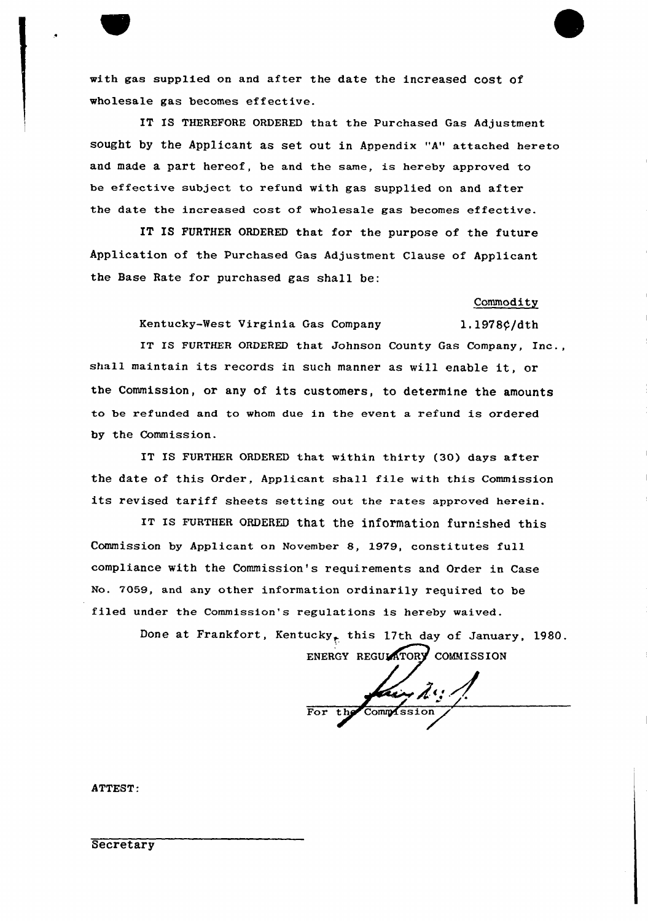with gas supp1ied on and after the date the increased cost of wholesale gas becomes effective.

IT IS THEREFORE ORDERED that the Purchased Gas Adjustment sought by the Applicant as set out in Appendix "A" attached hereto and made a part hereof, be and the same, is hereby approved to be effective subject to refund with gas supplied on and after the date the increased cost of wholesale gas becomes effective.

IT IS FURTHER ORDERED that for the purpose of the future Application of the Purchased Gas Adjustment Clause of Applicant the Base Rate for purchased gas shall be:

Commodity

Kentucky-West Virginia Gas Company 1.1978¢/dth

IT IS FURTHER ORDERED that Johnson County Gas Company, Inc., shall maintain its records in such manner as will enable it, or the Commission, or any of its customers, to determine the amounts to be refunded and to whom due in the event a refund is ordered hy the Commission.

IT IS FURTHER ORDERED that within thirty (30) days after the date of this Order, Applicant shall fi1e with this Commission its revised tariff sheets setting out the rates approved herein.

IT IS FURTHER ORDERED that the information furnished this Commission by Applicant on Novembex 8, 1979, constitutes full compliance with the Commission's requirements and Order in Case No. 7059, and any other information ordinarily required to be filed under the Commission's regulations is hereby waived.

> Done at Frankfort, Kentucky<sub>t</sub> this 17th day of January, 1980. ENERGY REGULATORY COMMISSION

(  $\angle$ a For the Commissio

ATTEST:

**Secretary**